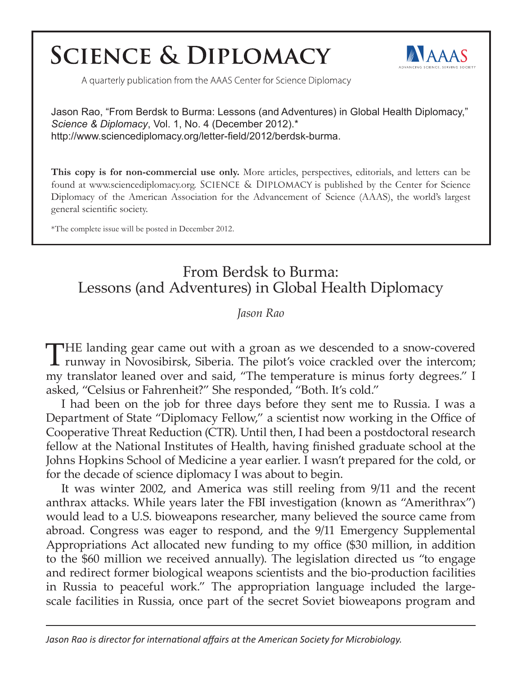## **SCIENCE & DIPLOMACY**



A quarterly publication from the AAAS Center for Science Diplomacy

Jason Rao, "From Berdsk to Burma: Lessons (and Adventures) in Global Health Diplomacy," *Science & Diplomacy*, Vol. 1, No. 4 (December 2012).\* http://www.sciencediplomacy.org/letter-field/2012/berdsk-burma.

**This copy is for non-commercial use only.** More articles, perspectives, editorials, and letters can be found at www.sciencediplomacy.org. SCIENCE & DIPLOMACY is published by the Center for Science Diplomacy of the American Association for the Advancement of Science (AAAS), the world's largest general scientific society.

\*The complete issue will be posted in December 2012.

## From Berdsk to Burma: Lessons (and Adventures) in Global Health Diplomacy

## *Jason Rao*

THE landing gear came out with a groan as we descended to a snow-covered runway in Novosibirsk, Siberia. The pilot's voice crackled over the intercom; my translator leaned over and said, "The temperature is minus forty degrees." I asked, "Celsius or Fahrenheit?" She responded, "Both. It's cold."

I had been on the job for three days before they sent me to Russia. I was a Department of State "Diplomacy Fellow," a scientist now working in the Office of Cooperative Threat Reduction (CTR). Until then, I had been a postdoctoral research fellow at the National Institutes of Health, having finished graduate school at the Johns Hopkins School of Medicine a year earlier. I wasn't prepared for the cold, or for the decade of science diplomacy I was about to begin.

It was winter 2002, and America was still reeling from 9/11 and the recent anthrax attacks. While years later the FBI investigation (known as "Amerithrax") would lead to a U.S. bioweapons researcher, many believed the source came from abroad. Congress was eager to respond, and the 9/11 Emergency Supplemental Appropriations Act allocated new funding to my office (\$30 million, in addition to the \$60 million we received annually). The legislation directed us "to engage and redirect former biological weapons scientists and the bio-production facilities in Russia to peaceful work." The appropriation language included the largescale facilities in Russia, once part of the secret Soviet bioweapons program and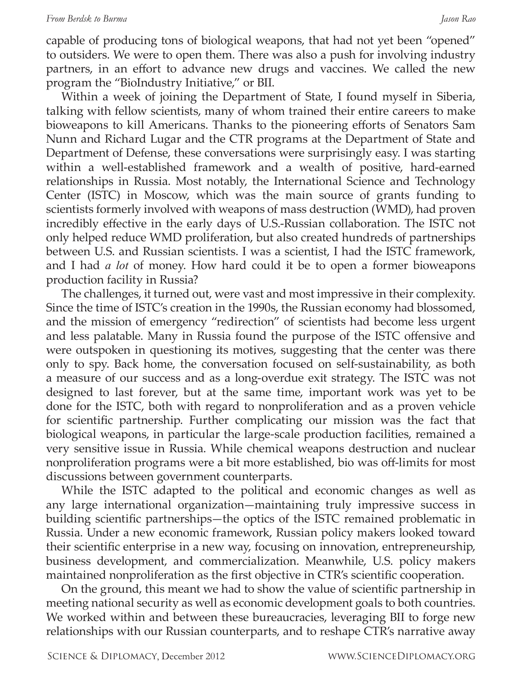## *From Berdsk to Burma Jason Rao*

Within a week of joining the Department of State, I found myself in Siberia, talking with fellow scientists, many of whom trained their entire careers to make bioweapons to kill Americans. Thanks to the pioneering efforts of Senators Sam Nunn and Richard Lugar and the CTR programs at the Department of State and Department of Defense, these conversations were surprisingly easy. I was starting within a well-established framework and a wealth of positive, hard-earned relationships in Russia. Most notably, the International Science and Technology Center (ISTC) in Moscow, which was the main source of grants funding to scientists formerly involved with weapons of mass destruction (WMD), had proven incredibly effective in the early days of U.S.-Russian collaboration. The ISTC not only helped reduce WMD proliferation, but also created hundreds of partnerships between U.S. and Russian scientists. I was a scientist, I had the ISTC framework, and I had *a lot* of money. How hard could it be to open a former bioweapons production facility in Russia?

The challenges, it turned out, were vast and most impressive in their complexity. Since the time of ISTC's creation in the 1990s, the Russian economy had blossomed, and the mission of emergency "redirection" of scientists had become less urgent and less palatable. Many in Russia found the purpose of the ISTC offensive and were outspoken in questioning its motives, suggesting that the center was there only to spy. Back home, the conversation focused on self-sustainability, as both a measure of our success and as a long-overdue exit strategy. The ISTC was not designed to last forever, but at the same time, important work was yet to be done for the ISTC, both with regard to nonproliferation and as a proven vehicle for scientific partnership. Further complicating our mission was the fact that biological weapons, in particular the large-scale production facilities, remained a very sensitive issue in Russia. While chemical weapons destruction and nuclear nonproliferation programs were a bit more established, bio was off-limits for most discussions between government counterparts.

While the ISTC adapted to the political and economic changes as well as any large international organization—maintaining truly impressive success in building scientific partnerships—the optics of the ISTC remained problematic in Russia. Under a new economic framework, Russian policy makers looked toward their scientific enterprise in a new way, focusing on innovation, entrepreneurship, business development, and commercialization. Meanwhile, U.S. policy makers maintained nonproliferation as the first objective in CTR's scientific cooperation.

On the ground, this meant we had to show the value of scientific partnership in meeting national security as well as economic development goals to both countries. We worked within and between these bureaucracies, leveraging BII to forge new relationships with our Russian counterparts, and to reshape CTR's narrative away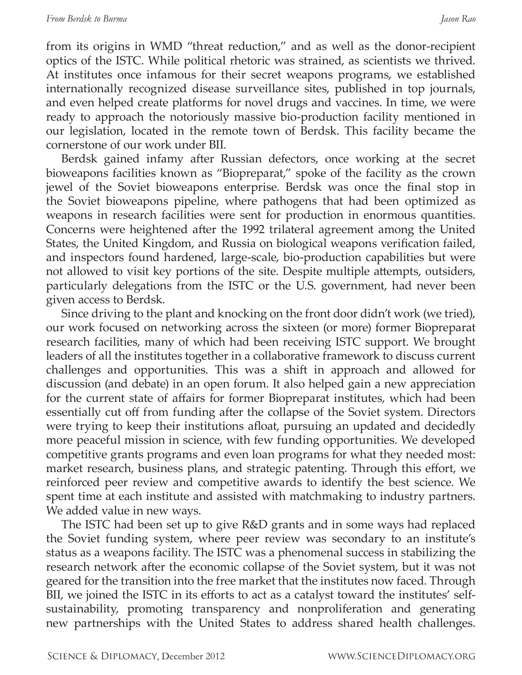from its origins in WMD "threat reduction," and as well as the donor-recipient optics of the ISTC. While political rhetoric was strained, as scientists we thrived. At institutes once infamous for their secret weapons programs, we established internationally recognized disease surveillance sites, published in top journals, and even helped create platforms for novel drugs and vaccines. In time, we were ready to approach the notoriously massive bio-production facility mentioned in our legislation, located in the remote town of Berdsk. This facility became the cornerstone of our work under BII.

Berdsk gained infamy after Russian defectors, once working at the secret bioweapons facilities known as "Biopreparat," spoke of the facility as the crown jewel of the Soviet bioweapons enterprise. Berdsk was once the final stop in the Soviet bioweapons pipeline, where pathogens that had been optimized as weapons in research facilities were sent for production in enormous quantities. Concerns were heightened after the 1992 trilateral agreement among the United States, the United Kingdom, and Russia on biological weapons verification failed, and inspectors found hardened, large-scale, bio-production capabilities but were not allowed to visit key portions of the site. Despite multiple attempts, outsiders, particularly delegations from the ISTC or the U.S. government, had never been given access to Berdsk.

Since driving to the plant and knocking on the front door didn't work (we tried), our work focused on networking across the sixteen (or more) former Biopreparat research facilities, many of which had been receiving ISTC support. We brought leaders of all the institutes together in a collaborative framework to discuss current challenges and opportunities. This was a shift in approach and allowed for discussion (and debate) in an open forum. It also helped gain a new appreciation for the current state of affairs for former Biopreparat institutes, which had been essentially cut off from funding after the collapse of the Soviet system. Directors were trying to keep their institutions afloat, pursuing an updated and decidedly more peaceful mission in science, with few funding opportunities. We developed competitive grants programs and even loan programs for what they needed most: market research, business plans, and strategic patenting. Through this effort, we reinforced peer review and competitive awards to identify the best science. We spent time at each institute and assisted with matchmaking to industry partners. We added value in new ways.

The ISTC had been set up to give R&D grants and in some ways had replaced the Soviet funding system, where peer review was secondary to an institute's status as a weapons facility. The ISTC was a phenomenal success in stabilizing the research network after the economic collapse of the Soviet system, but it was not geared for the transition into the free market that the institutes now faced. Through BII, we joined the ISTC in its efforts to act as a catalyst toward the institutes' selfsustainability, promoting transparency and nonproliferation and generating new partnerships with the United States to address shared health challenges.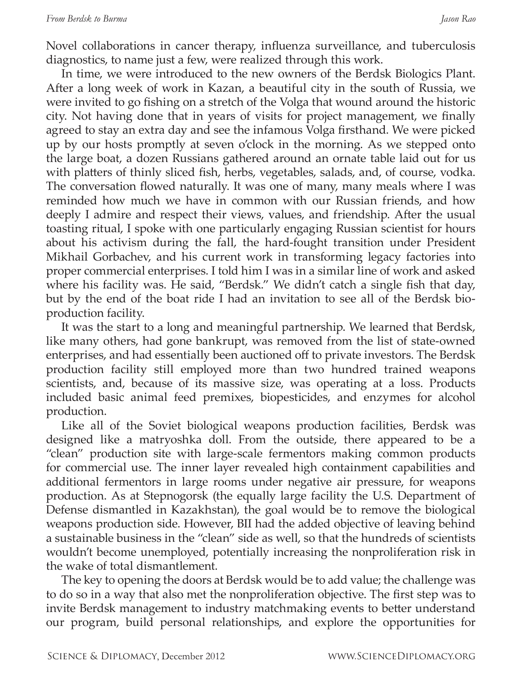Novel collaborations in cancer therapy, influenza surveillance, and tuberculosis diagnostics, to name just a few, were realized through this work.

In time, we were introduced to the new owners of the Berdsk Biologics Plant. After a long week of work in Kazan, a beautiful city in the south of Russia, we were invited to go fishing on a stretch of the Volga that wound around the historic city. Not having done that in years of visits for project management, we finally agreed to stay an extra day and see the infamous Volga firsthand. We were picked up by our hosts promptly at seven o'clock in the morning. As we stepped onto the large boat, a dozen Russians gathered around an ornate table laid out for us with platters of thinly sliced fish, herbs, vegetables, salads, and, of course, vodka. The conversation flowed naturally. It was one of many, many meals where I was reminded how much we have in common with our Russian friends, and how deeply I admire and respect their views, values, and friendship. After the usual toasting ritual, I spoke with one particularly engaging Russian scientist for hours about his activism during the fall, the hard-fought transition under President Mikhail Gorbachev, and his current work in transforming legacy factories into proper commercial enterprises. I told him I was in a similar line of work and asked where his facility was. He said, "Berdsk." We didn't catch a single fish that day, but by the end of the boat ride I had an invitation to see all of the Berdsk bioproduction facility.

It was the start to a long and meaningful partnership. We learned that Berdsk, like many others, had gone bankrupt, was removed from the list of state-owned enterprises, and had essentially been auctioned off to private investors. The Berdsk production facility still employed more than two hundred trained weapons scientists, and, because of its massive size, was operating at a loss. Products included basic animal feed premixes, biopesticides, and enzymes for alcohol production.

Like all of the Soviet biological weapons production facilities, Berdsk was designed like a matryoshka doll. From the outside, there appeared to be a "clean" production site with large-scale fermentors making common products for commercial use. The inner layer revealed high containment capabilities and additional fermentors in large rooms under negative air pressure, for weapons production. As at Stepnogorsk (the equally large facility the U.S. Department of Defense dismantled in Kazakhstan), the goal would be to remove the biological weapons production side. However, BII had the added objective of leaving behind a sustainable business in the "clean" side as well, so that the hundreds of scientists wouldn't become unemployed, potentially increasing the nonproliferation risk in the wake of total dismantlement.

The key to opening the doors at Berdsk would be to add value; the challenge was to do so in a way that also met the nonproliferation objective. The first step was to invite Berdsk management to industry matchmaking events to better understand our program, build personal relationships, and explore the opportunities for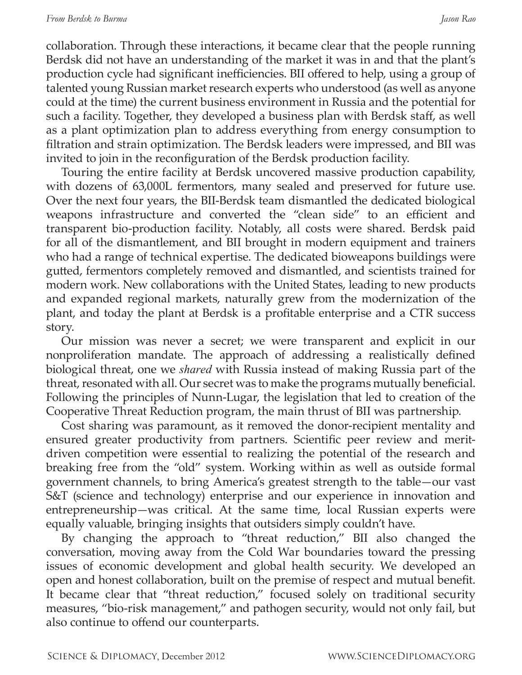collaboration. Through these interactions, it became clear that the people running Berdsk did not have an understanding of the market it was in and that the plant's production cycle had significant inefficiencies. BII offered to help, using a group of talented young Russian market research experts who understood (as well as anyone could at the time) the current business environment in Russia and the potential for such a facility. Together, they developed a business plan with Berdsk staff, as well as a plant optimization plan to address everything from energy consumption to filtration and strain optimization. The Berdsk leaders were impressed, and BII was invited to join in the reconfiguration of the Berdsk production facility.

Touring the entire facility at Berdsk uncovered massive production capability, with dozens of 63,000L fermentors, many sealed and preserved for future use. Over the next four years, the BII-Berdsk team dismantled the dedicated biological weapons infrastructure and converted the "clean side" to an efficient and transparent bio-production facility. Notably, all costs were shared. Berdsk paid for all of the dismantlement, and BII brought in modern equipment and trainers who had a range of technical expertise. The dedicated bioweapons buildings were gutted, fermentors completely removed and dismantled, and scientists trained for modern work. New collaborations with the United States, leading to new products and expanded regional markets, naturally grew from the modernization of the plant, and today the plant at Berdsk is a profitable enterprise and a CTR success story.

Our mission was never a secret; we were transparent and explicit in our nonproliferation mandate. The approach of addressing a realistically defined biological threat, one we *shared* with Russia instead of making Russia part of the threat, resonated with all. Our secret was to make the programs mutually beneficial. Following the principles of Nunn-Lugar, the legislation that led to creation of the Cooperative Threat Reduction program, the main thrust of BII was partnership.

Cost sharing was paramount, as it removed the donor-recipient mentality and ensured greater productivity from partners. Scientific peer review and meritdriven competition were essential to realizing the potential of the research and breaking free from the "old" system. Working within as well as outside formal government channels, to bring America's greatest strength to the table—our vast S&T (science and technology) enterprise and our experience in innovation and entrepreneurship—was critical. At the same time, local Russian experts were equally valuable, bringing insights that outsiders simply couldn't have.

By changing the approach to "threat reduction," BII also changed the conversation, moving away from the Cold War boundaries toward the pressing issues of economic development and global health security. We developed an open and honest collaboration, built on the premise of respect and mutual benefit. It became clear that "threat reduction," focused solely on traditional security measures, "bio-risk management," and pathogen security, would not only fail, but also continue to offend our counterparts.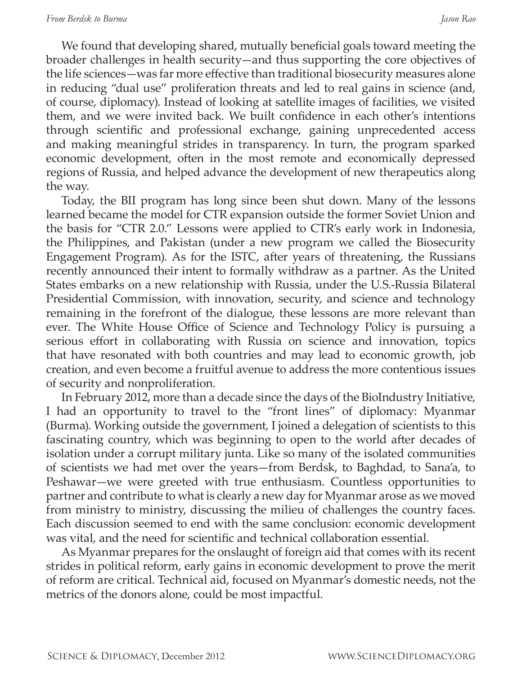We found that developing shared, mutually beneficial goals toward meeting the broader challenges in health security—and thus supporting the core objectives of the life sciences—was far more effective than traditional biosecurity measures alone in reducing "dual use" proliferation threats and led to real gains in science (and, of course, diplomacy). Instead of looking at satellite images of facilities, we visited them, and we were invited back. We built confidence in each other's intentions through scientific and professional exchange, gaining unprecedented access and making meaningful strides in transparency. In turn, the program sparked economic development, often in the most remote and economically depressed regions of Russia, and helped advance the development of new therapeutics along the way.

Today, the BII program has long since been shut down. Many of the lessons learned became the model for CTR expansion outside the former Soviet Union and the basis for "CTR 2.0." Lessons were applied to CTR's early work in Indonesia, the Philippines, and Pakistan (under a new program we called the Biosecurity Engagement Program). As for the ISTC, after years of threatening, the Russians recently announced their intent to formally withdraw as a partner. As the United States embarks on a new relationship with Russia, under the U.S.-Russia Bilateral Presidential Commission, with innovation, security, and science and technology remaining in the forefront of the dialogue, these lessons are more relevant than ever. The White House Office of Science and Technology Policy is pursuing a serious effort in collaborating with Russia on science and innovation, topics that have resonated with both countries and may lead to economic growth, job creation, and even become a fruitful avenue to address the more contentious issues of security and nonproliferation.

In February 2012, more than a decade since the days of the BioIndustry Initiative, I had an opportunity to travel to the "front lines" of diplomacy: Myanmar (Burma). Working outside the government, I joined a delegation of scientists to this fascinating country, which was beginning to open to the world after decades of isolation under a corrupt military junta. Like so many of the isolated communities of scientists we had met over the years—from Berdsk, to Baghdad, to Sana'a, to Peshawar—we were greeted with true enthusiasm. Countless opportunities to partner and contribute to what is clearly a new day for Myanmar arose as we moved from ministry to ministry, discussing the milieu of challenges the country faces. Each discussion seemed to end with the same conclusion: economic development was vital, and the need for scientific and technical collaboration essential.

As Myanmar prepares for the onslaught of foreign aid that comes with its recent strides in political reform, early gains in economic development to prove the merit of reform are critical. Technical aid, focused on Myanmar's domestic needs, not the metrics of the donors alone, could be most impactful.